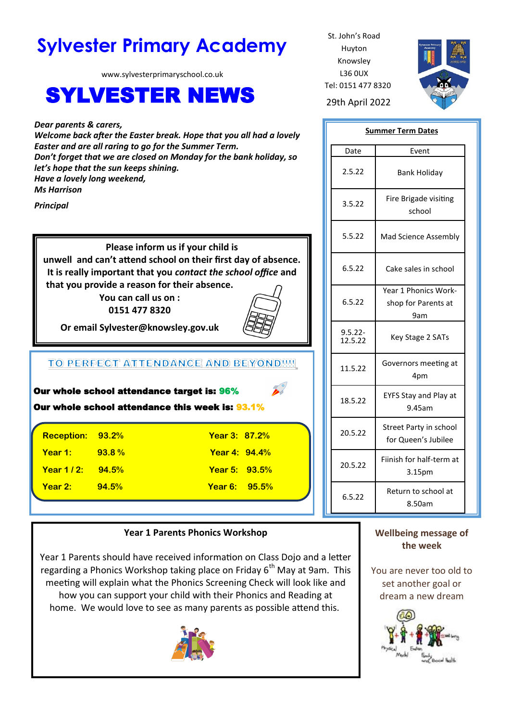# **Sylvester Primary Academy** St. John's Road

www.sylvesterprimaryschool.co.uk

# SYLVESTER NEWS 29th April 2022

*Dear parents & carers, Welcome back after the Easter break. Hope that you all had a lovely Easter and are all raring to go for the Summer Term. Don't forget that we are closed on Monday for the bank holiday, so let's hope that the sun keeps shining. Have a lovely long weekend, Ms Harrison*

*Principal*

**Please inform us if your child is unwell and can't attend school on their first day of absence. It is really important that you** *contact the school office* **and that you provide a reason for their absence.**

**You can call us on : 0151 477 8320**



**Or email Sylvester@knowsley.gov.uk**

## TO PERFECT ATTENDANCE AND BEYONDIN

| Our whole school attendance target is: 96%<br>Our whole school attendance this week is: 93.1% |          |                      |  |  |
|-----------------------------------------------------------------------------------------------|----------|----------------------|--|--|
| Reception: 93.2%                                                                              |          | <b>Year 3: 87.2%</b> |  |  |
| Year 1:                                                                                       | $93.8\%$ | <b>Year 4: 94.4%</b> |  |  |
| <b>Year 1/2:</b> 94.5%                                                                        |          | <b>Year 5: 93.5%</b> |  |  |
| Year 2:                                                                                       | 94.5%    | <b>Year 6:</b> 95.5% |  |  |

#### **Year 1 Parents Phonics Workshop**

Year 1 Parents should have received information on Class Dojo and a letter regarding a Phonics Workshop taking place on Friday  $6<sup>th</sup>$  May at 9am. This meeting will explain what the Phonics Screening Check will look like and how you can support your child with their Phonics and Reading at home. We would love to see as many parents as possible attend this.



Huyton Knowsley L36 0UX Tel: 0151 477 8320



| <b>Summer Term Dates</b> |                                                    |  |  |
|--------------------------|----------------------------------------------------|--|--|
| Date                     | Event                                              |  |  |
| 2.5.22                   | Bank Holiday                                       |  |  |
| 3.5.22                   | Fire Brigade visiting<br>school                    |  |  |
| 5.5.22                   | Mad Science Assembly                               |  |  |
| 6.5.22                   | Cake sales in school                               |  |  |
| 6.5.22                   | Year 1 Phonics Work-<br>shop for Parents at<br>9am |  |  |
| $9.5.22 -$<br>12.5.22    | Key Stage 2 SATs                                   |  |  |
| 11.5.22                  | Governors meeting at<br>4pm                        |  |  |
| 18.5.22                  | <b>EYFS Stay and Play at</b><br>9.45am             |  |  |
| 20.5.22                  | Street Party in school<br>for Queen's Jubilee      |  |  |
| 20.5.22                  | Fiinish for half-term at<br>3.15pm                 |  |  |
| 6.5.22                   | Return to school at<br>8.50am                      |  |  |

### **Wellbeing message of the week**

You are never too old to set another goal or dream a new dream